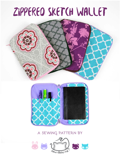# ZIPPERED SKETCH WALLET





### **a sewing pattern by**

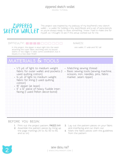sewing tutorial

## zippered sketch wallet

This project was inspired by my jealousy of my boyfriend's new sketch wallet -- a wallet for holding a tiny sketchbook and a set of pens/pencils so you're always ready to draw something. I knew I had to make one for myself, so I thought I'd see if this setup worked out for me.

#### $\Box$

In this project, the zipper is sewn right into the seam one wallet, 5" wide and 71/2" tall attaching the outer fabric and lining with no bound seams or raw edges. It takes some coordination, but it results in a nice clean finish!

makes:

## **materials & tools**

#### **before you begin:**

- **1.** Print out the project pattern, **pages 9-11**
- **2.** Assemble the pattern pieces by lining up the page markings (A1 to A2, B3 to B4, and so on)
- **3.** Lay out the pattern pieces on your fabric and interfacing and cut them out
- **4.** Mark the fabric pieces with the guidelines from the pattern

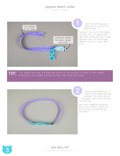sewing tutorial



Start by trimming your zipper to 18" long if it isn't there already.

Sandwich one end of the zipper between the two zipper tabs, right sides facing and short ends together. Sew the three layers together with a ¼" seam allowance.

**tip:** The zipper and tab will basically serve as the gusset or sides or the wallet. Without it, the wallet would just be a flat front and back.



Take the remaining two ends of the zipper tab and sandwich the other end of the zipper with them, just like the last step.

Sew them together as before, and if you've done it right you should have a complete ring, untwisted.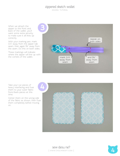sewing tutorial

When we attach the zipper to the front and back of the wallet, you'll want some extra security to make sure it all lines up correctly.

With your marking pen, mark 3/4" away from the zipper tab seam, then again 5¼" away from the seam. Do this on both sides.

These markings will indicate where the zipper will line up with the corners of the wallet.



Take your cut pieces of heavy interfacing and fuse them to your outer fabric front/back pieces at this time.

Center them on the wrong side of the fabric as shown, then fuse them completely before moving on.





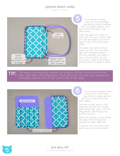sewing tutorial



If you haven't already, mark the circle markings and bottom notch markings from the paper pattern onto one of the front/back outer fabric pieces

Unzip the zipper (it's easier to work with this way, I think). Take one side and align it around the edge of one of the front/back pieces.

The zipper tab seams should match up with the circle markings from the paper pattern, and the markings you made in step 4 should match up with the corners. When everything is pinned, baste the zipper in place.

**tip:** The project will frequently mention the bottom notches found on the front/ back outer fabric and lining pieces. These are to be sure that your pockets are orientated correctly and on the correct side of the wallet.



If you haven't already, mark the bottom notch markings from the paper pattern onto your front/back lining fabric pieces.

Fold each pocket piece in half along the fold line with wrong sides facing. Align them with the lining pieces, matching up the bottom notches.

Baste the pockets in place along the edge of the lining pieces, leaving the folded edge free.

For pencil slots, sew extra lines 1" apart across the pencil pocket.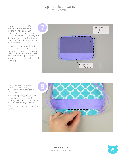sewing tutorial

Tuck the unsewn half of the zipper into the center of the front piece, then lay the sketchbook pocket lining piece over it, matching up the raw edges and the bottom notches. Everything should be tucked inside.

Leave an opening in the middle of the zipper tab, about 3" wide so you can turn it right side out. When everything is all pinned, sew around the perimeter of the rectangle, leaving that small opening.



Turn the piece right side out from the opening, then tuck under the seam allowance.

Sew the opening closed with a ladder stitch to keep things looking neat, or you could also sew it with an edge stitch.

This will now be the back of your wallet.



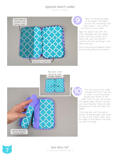sewing tutorial

**flip back onto front & tuck inside zipper**



Take the remaining edge of the zipper and align it around the remaining outer fabric piece -- this will be the front of your wallet.

Align the zipper tab with the circle markings and the zipper marks with the corners as in step 5. Be sure the bottom notches are both pointing in the same direction.

With everything all aligned, baste around the perimeter as before.

Flip the back of the wallet towards the front. Just like in step 7, tuck everything toward the center of the wallet front so you can access the zipper edge without sewing over anything else. Place the last lining piece on top and align the edges.

The lining side with the pencil pockets is placed right side down on top of the whole wallet, with the edge of the zipper matching up with the lining.

**pencil pocket, facing down**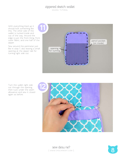sewing tutorial

With everything lined up it should look something like this. The other side of the wallet is tucked inside and out of the way. Around the edge is just the front lining, front outer fabric, and one half of the zipper.

Sew around the perimeter just like in step 7, also leaving a small opening at the zipper tab for turning right side out.



Turn the wallet right side out through the opening, then tuck under the seam allowance and sew it closed again as before.

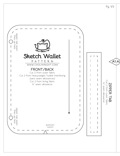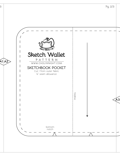